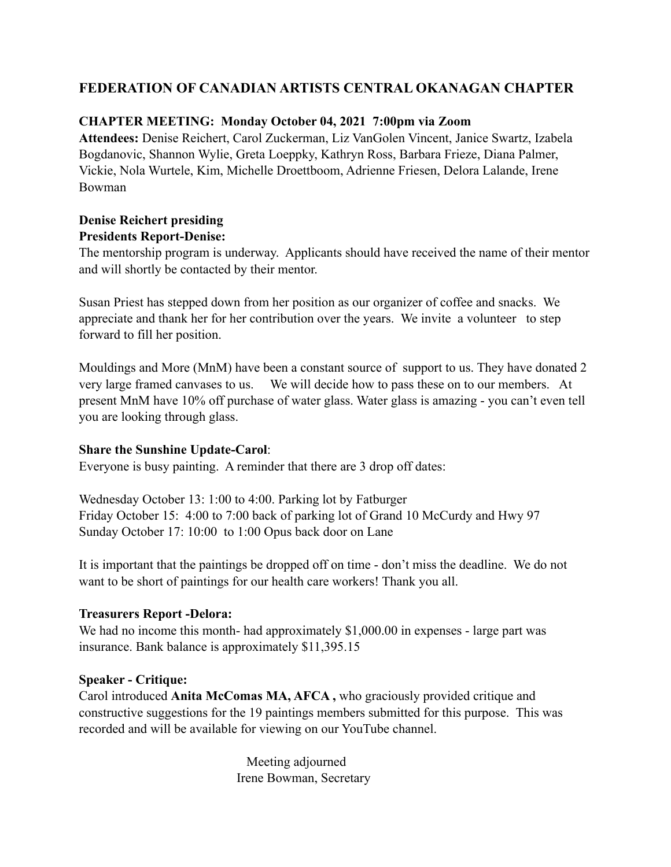# **FEDERATION OF CANADIAN ARTISTS CENTRAL OKANAGAN CHAPTER**

### **CHAPTER MEETING: Monday October 04, 2021 7:00pm via Zoom**

**Attendees:** Denise Reichert, Carol Zuckerman, Liz VanGolen Vincent, Janice Swartz, Izabela Bogdanovic, Shannon Wylie, Greta Loeppky, Kathryn Ross, Barbara Frieze, Diana Palmer, Vickie, Nola Wurtele, Kim, Michelle Droettboom, Adrienne Friesen, Delora Lalande, Irene Bowman

## **Denise Reichert presiding Presidents Report-Denise:**

The mentorship program is underway. Applicants should have received the name of their mentor and will shortly be contacted by their mentor.

Susan Priest has stepped down from her position as our organizer of coffee and snacks. We appreciate and thank her for her contribution over the years. We invite a volunteer to step forward to fill her position.

Mouldings and More (MnM) have been a constant source of support to us. They have donated 2 very large framed canvases to us. We will decide how to pass these on to our members. At present MnM have 10% off purchase of water glass. Water glass is amazing - you can't even tell you are looking through glass.

#### **Share the Sunshine Update-Carol**:

Everyone is busy painting. A reminder that there are 3 drop off dates:

Wednesday October 13: 1:00 to 4:00. Parking lot by Fatburger Friday October 15: 4:00 to 7:00 back of parking lot of Grand 10 McCurdy and Hwy 97 Sunday October 17: 10:00 to 1:00 Opus back door on Lane

It is important that the paintings be dropped off on time - don't miss the deadline. We do not want to be short of paintings for our health care workers! Thank you all.

#### **Treasurers Report -Delora:**

We had no income this month- had approximately \$1,000.00 in expenses - large part was insurance. Bank balance is approximately \$11,395.15

#### **Speaker - Critique:**

Carol introduced **Anita McComas MA, AFCA ,** who graciously provided critique and constructive suggestions for the 19 paintings members submitted for this purpose. This was recorded and will be available for viewing on our YouTube channel.

> Meeting adjourned Irene Bowman, Secretary